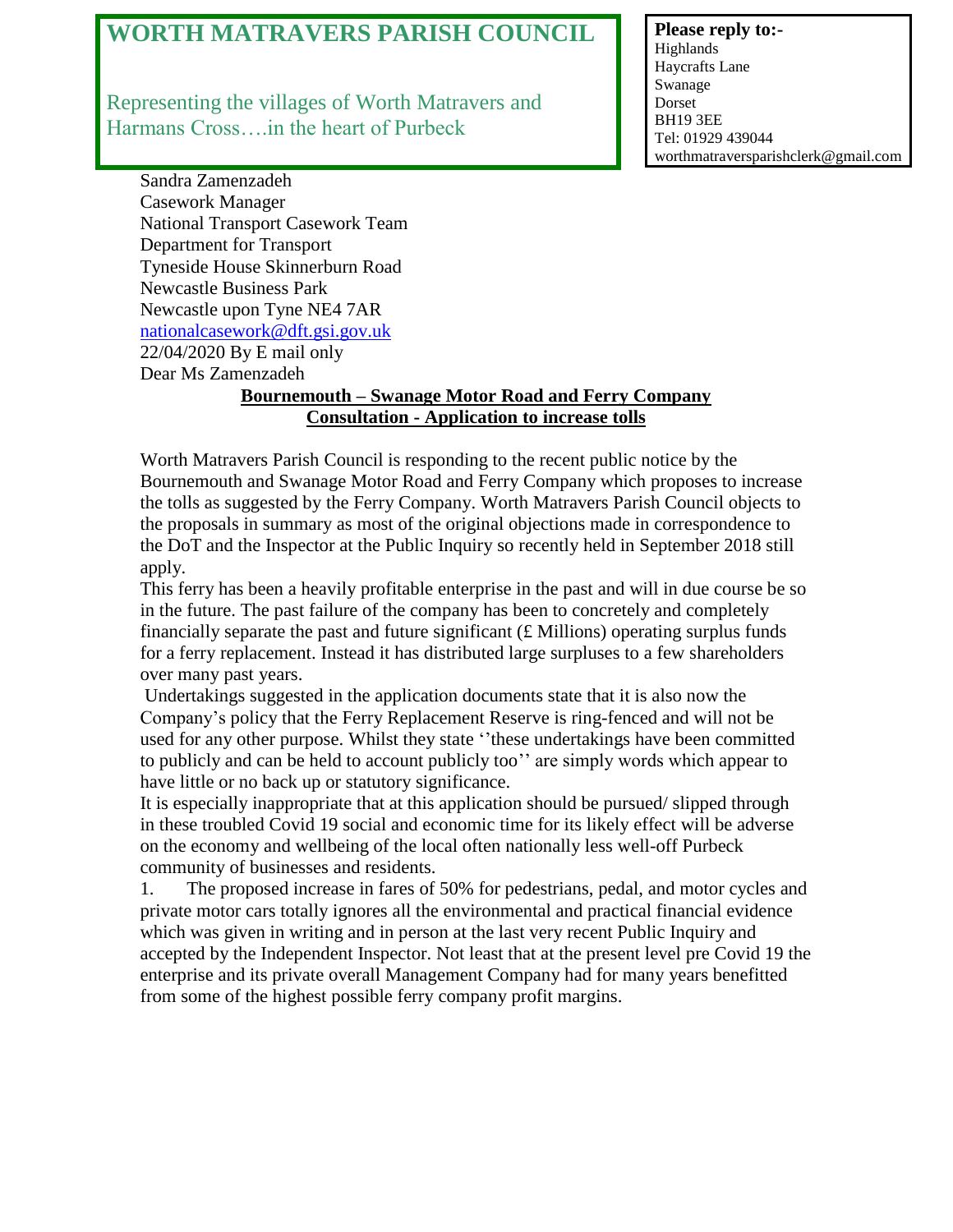## **WORTH MATRAVERS PARISH COUNCIL**

Representing the villages of Worth Matravers and Harmans Cross….in the heart of Purbeck

**Please reply to:-** Highlands Haycrafts Lane Swanage Dorset BH19 3EE Tel: 01929 439044 worthmatraversparishclerk@gmail.com

Sandra Zamenzadeh Casework Manager National Transport Casework Team Department for Transport Tyneside House Skinnerburn Road Newcastle Business Park Newcastle upon Tyne NE4 7AR [nationalcasework@dft.gsi.gov.uk](mailto:nationalcasework@dft.gsi.gov.uk) 22/04/2020 By E mail only Dear Ms Zamenzadeh

## **Bournemouth – Swanage Motor Road and Ferry Company Consultation - Application to increase tolls**

Worth Matravers Parish Council is responding to the recent public notice by the Bournemouth and Swanage Motor Road and Ferry Company which proposes to increase the tolls as suggested by the Ferry Company. Worth Matravers Parish Council objects to the proposals in summary as most of the original objections made in correspondence to the DoT and the Inspector at the Public Inquiry so recently held in September 2018 still apply.

This ferry has been a heavily profitable enterprise in the past and will in due course be so in the future. The past failure of the company has been to concretely and completely financially separate the past and future significant  $(f$ . Millions) operating surplus funds for a ferry replacement. Instead it has distributed large surpluses to a few shareholders over many past years.

Undertakings suggested in the application documents state that it is also now the Company's policy that the Ferry Replacement Reserve is ring-fenced and will not be used for any other purpose. Whilst they state ''these undertakings have been committed to publicly and can be held to account publicly too'' are simply words which appear to have little or no back up or statutory significance.

It is especially inappropriate that at this application should be pursued/ slipped through in these troubled Covid 19 social and economic time for its likely effect will be adverse on the economy and wellbeing of the local often nationally less well-off Purbeck community of businesses and residents.

1. The proposed increase in fares of 50% for pedestrians, pedal, and motor cycles and private motor cars totally ignores all the environmental and practical financial evidence which was given in writing and in person at the last very recent Public Inquiry and accepted by the Independent Inspector. Not least that at the present level pre Covid 19 the enterprise and its private overall Management Company had for many years benefitted from some of the highest possible ferry company profit margins.